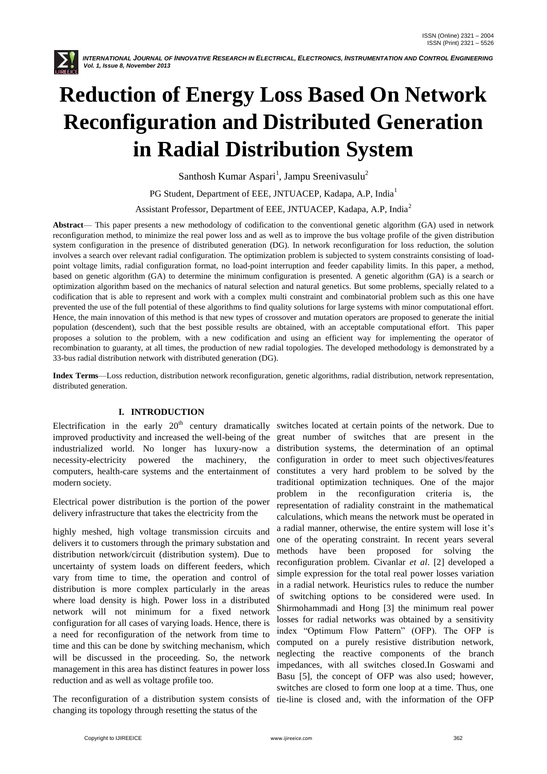

# **Reduction of Energy Loss Based On Network Reconfiguration and Distributed Generation in Radial Distribution System**

Santhosh Kumar Aspari<sup>1</sup>, Jampu Sreenivasulu<sup>2</sup>

PG Student, Department of EEE, JNTUACEP, Kadapa, A.P, India<sup>1</sup>

Assistant Professor, Department of EEE, JNTUACEP, Kadapa, A.P, India<sup>2</sup>

**Abstract**— This paper presents a new methodology of codification to the conventional genetic algorithm (GA) used in network reconfiguration method, to minimize the real power loss and as well as to improve the bus voltage profile of the given distribution system configuration in the presence of distributed generation (DG). In network reconfiguration for loss reduction, the solution involves a search over relevant radial configuration. The optimization problem is subjected to system constraints consisting of loadpoint voltage limits, radial configuration format, no load-point interruption and feeder capability limits. In this paper, a method, based on genetic algorithm (GA) to determine the minimum configuration is presented. A genetic algorithm (GA) is a search or optimization algorithm based on the mechanics of natural selection and natural genetics. But some problems, specially related to a codification that is able to represent and work with a complex multi constraint and combinatorial problem such as this one have prevented the use of the full potential of these algorithms to find quality solutions for large systems with minor computational effort. Hence, the main innovation of this method is that new types of crossover and mutation operators are proposed to generate the initial population (descendent), such that the best possible results are obtained, with an acceptable computational effort. This paper proposes a solution to the problem, with a new codification and using an efficient way for implementing the operator of recombination to guaranty, at all times, the production of new radial topologies. The developed methodology is demonstrated by a 33-bus radial distribution network with distributed generation (DG).

**Index Terms**—Loss reduction, distribution network reconfiguration, genetic algorithms, radial distribution, network representation, distributed generation.

## **I. INTRODUCTION**

Electrification in the early  $20<sup>th</sup>$  century dramatically switches located at certain points of the network. Due to improved productivity and increased the well-being of the great number of switches that are present in the industrialized world. No longer has luxury-now a distribution systems, the determination of an optimal necessity-electricity powered the machinery, computers, health-care systems and the entertainment of modern society.

Electrical power distribution is the portion of the power delivery infrastructure that takes the electricity from the

highly meshed, high voltage transmission circuits and delivers it to customers through the primary substation and distribution network/circuit (distribution system). Due to uncertainty of system loads on different feeders, which vary from time to time, the operation and control of distribution is more complex particularly in the areas where load density is high. Power loss in a distributed network will not minimum for a fixed network configuration for all cases of varying loads. Hence, there is a need for reconfiguration of the network from time to time and this can be done by switching mechanism, which will be discussed in the proceeding. So, the network management in this area has distinct features in power loss reduction and as well as voltage profile too.

The reconfiguration of a distribution system consists of tie-line is closed and, with the information of the OFP changing its topology through resetting the status of the

configuration in order to meet such objectives/features constitutes a very hard problem to be solved by the traditional optimization techniques. One of the major problem in the reconfiguration criteria is, the representation of radiality constraint in the mathematical calculations, which means the network must be operated in a radial manner, otherwise, the entire system will lose it's one of the operating constraint. In recent years several methods have been proposed for solving the reconfiguration problem. Civanlar *et al*. [2] developed a simple expression for the total real power losses variation in a radial network. Heuristics rules to reduce the number of switching options to be considered were used. In Shirmohammadi and Hong [3] the minimum real power losses for radial networks was obtained by a sensitivity index "Optimum Flow Pattern" (OFP). The OFP is computed on a purely resistive distribution network, neglecting the reactive components of the branch impedances, with all switches closed.In Goswami and Basu [5], the concept of OFP was also used; however, switches are closed to form one loop at a time. Thus, one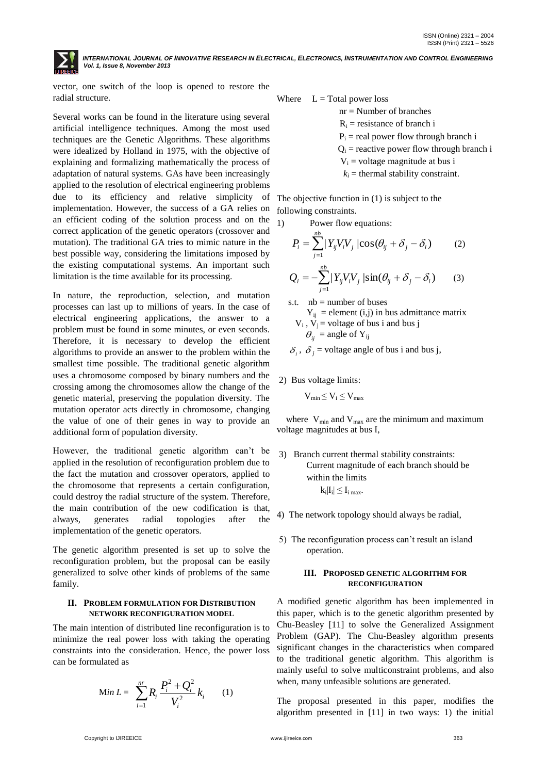vector, one switch of the loop is opened to restore the radial structure.

Several works can be found in the literature using several artificial intelligence techniques. Among the most used techniques are the Genetic Algorithms. These algorithms were idealized by Holland in 1975, with the objective of explaining and formalizing mathematically the process of adaptation of natural systems. GAs have been increasingly applied to the resolution of electrical engineering problems due to its efficiency and relative simplicity of implementation. However, the success of a GA relies on an efficient coding of the solution process and on the correct application of the genetic operators (crossover and mutation). The traditional GA tries to mimic nature in the best possible way, considering the limitations imposed by the existing computational systems. An important such limitation is the time available for its processing.

In nature, the reproduction, selection, and mutation processes can last up to millions of years. In the case of electrical engineering applications, the answer to a problem must be found in some minutes, or even seconds. Therefore, it is necessary to develop the efficient algorithms to provide an answer to the problem within the smallest time possible. The traditional genetic algorithm uses a chromosome composed by binary numbers and the crossing among the chromosomes allow the change of the genetic material, preserving the population diversity. The mutation operator acts directly in chromosome, changing the value of one of their genes in way to provide an additional form of population diversity.

However, the traditional genetic algorithm can't be applied in the resolution of reconfiguration problem due to the fact the mutation and crossover operators, applied to the chromosome that represents a certain configuration, could destroy the radial structure of the system. Therefore, the main contribution of the new codification is that, always, generates radial topologies after the implementation of the genetic operators.

The genetic algorithm presented is set up to solve the reconfiguration problem, but the proposal can be easily generalized to solve other kinds of problems of the same family.

### **II. PROBLEM FORMULATION FOR DISTRIBUTION NETWORK RECONFIGURATION MODEL**

The main intention of distributed line reconfiguration is to minimize the real power loss with taking the operating constraints into the consideration. Hence, the power loss can be formulated as

Min 
$$
L = \sum_{i=1}^{nr} R_i \frac{P_i^2 + Q_i^2}{V_i^2} k_i
$$
 (1)

Where  $L = Total power loss$ 

nr = Number of branches

 $R_i$  = resistance of branch i

 $P_i$  = real power flow through branch i

 $Q_i$  = reactive power flow through branch i

 $V_i$  = voltage magnitude at bus i

 $k_i$  = thermal stability constraint.

The objective function in (1) is subject to the following constraints.

1) Power flow equations:

$$
P_i = \sum_{j=1}^{nb} |Y_{ij}V_iV_j|\cos(\theta_{ij} + \delta_j - \delta_i)
$$
 (2)  

$$
Q_i = -\sum_{j=1}^{nb} |Y_{ij}V_iV_j|\sin(\theta_{ij} + \delta_j - \delta_i)
$$
 (3)

s.t.  $nb = number of buses$  $Y_{ij}$  = element (i,j) in bus admittance matrix  $V_i$ ,  $V_j$  = voltage of bus i and bus j  $\theta_{ij}$  = angle of Y<sub>ij</sub>

 $\delta_i$ ,  $\delta_j$  = voltage angle of bus i and bus j,

2) Bus voltage limits:

 $V_{\text{min}} \leq V_i \leq V_{\text{max}}$ 

where  $V_{min}$  and  $V_{max}$  are the minimum and maximum voltage magnitudes at bus I,

- 3) Branch current thermal stability constraints: Current magnitude of each branch should be within the limits  $|{\bf k_i}|{\bf l_i}| \leq {\bf l_i}|{\bf m_a}$
- 4) The network topology should always be radial,
- 5) The reconfiguration process can't result an island operation.

### **III. PROPOSED GENETIC ALGORITHM FOR RECONFIGURATION**

A modified genetic algorithm has been implemented in this paper, which is to the genetic algorithm presented by Chu-Beasley [11] to solve the Generalized Assignment Problem (GAP). The Chu-Beasley algorithm presents significant changes in the characteristics when compared to the traditional genetic algorithm. This algorithm is mainly useful to solve multiconstraint problems, and also when, many unfeasible solutions are generated.

The proposal presented in this paper, modifies the algorithm presented in [11] in two ways: 1) the initial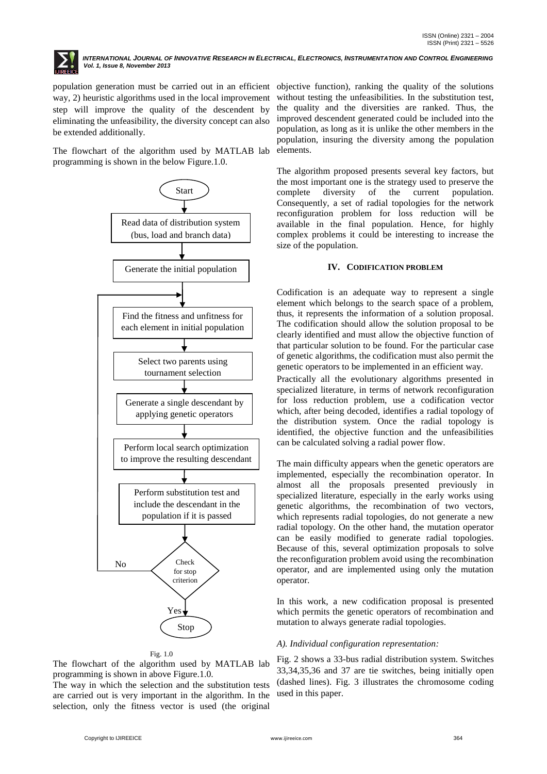

population generation must be carried out in an efficient objective function), ranking the quality of the solutions way, 2) heuristic algorithms used in the local improvement step will improve the quality of the descendent by eliminating the unfeasibility, the diversity concept can also be extended additionally.

The flowchart of the algorithm used by MATLAB lab programming is shown in the below Figure.1.0.



### Fig. 1.0

The flowchart of the algorithm used by MATLAB lab programming is shown in above Figure.1.0.

The way in which the selection and the substitution tests are carried out is very important in the algorithm. In the selection, only the fitness vector is used (the original

without testing the unfeasibilities. In the substitution test, the quality and the diversities are ranked. Thus, the improved descendent generated could be included into the population, as long as it is unlike the other members in the population, insuring the diversity among the population elements.

The algorithm proposed presents several key factors, but the most important one is the strategy used to preserve the complete diversity of the current population. Consequently, a set of radial topologies for the network reconfiguration problem for loss reduction will be available in the final population. Hence, for highly complex problems it could be interesting to increase the size of the population.

### **IV. CODIFICATION PROBLEM**

Codification is an adequate way to represent a single element which belongs to the search space of a problem, thus, it represents the information of a solution proposal. The codification should allow the solution proposal to be clearly identified and must allow the objective function of that particular solution to be found. For the particular case of genetic algorithms, the codification must also permit the genetic operators to be implemented in an efficient way.

Practically all the evolutionary algorithms presented in specialized literature, in terms of network reconfiguration for loss reduction problem, use a codification vector which, after being decoded, identifies a radial topology of the distribution system. Once the radial topology is identified, the objective function and the unfeasibilities can be calculated solving a radial power flow.

The main difficulty appears when the genetic operators are implemented, especially the recombination operator. In almost all the proposals presented previously in specialized literature, especially in the early works using genetic algorithms, the recombination of two vectors, which represents radial topologies, do not generate a new radial topology. On the other hand, the mutation operator can be easily modified to generate radial topologies. Because of this, several optimization proposals to solve the reconfiguration problem avoid using the recombination operator, and are implemented using only the mutation operator.

In this work, a new codification proposal is presented which permits the genetic operators of recombination and mutation to always generate radial topologies.

### *A). Individual configuration representation:*

Fig. 2 shows a 33-bus radial distribution system. Switches 33,34,35,36 and 37 are tie switches, being initially open (dashed lines). Fig. 3 illustrates the chromosome coding used in this paper.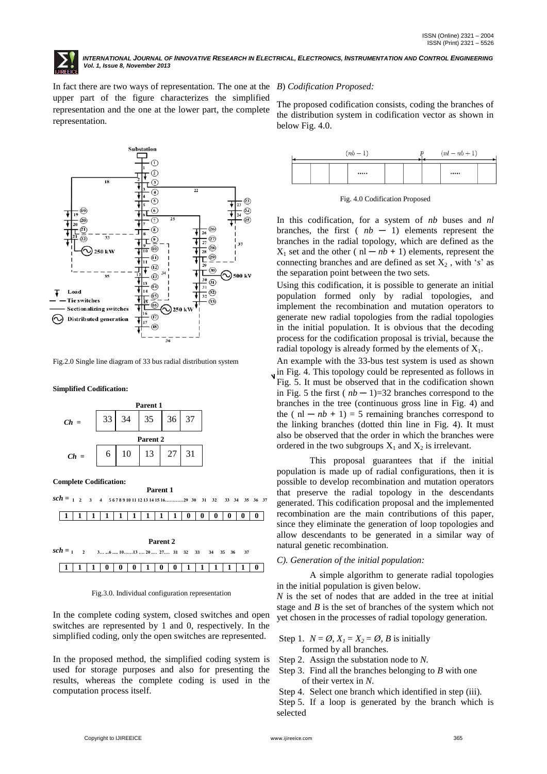

In fact there are two ways of representation. The one at the *B*) *Codification Proposed:* upper part of the figure characterizes the simplified representation and the one at the lower part, the complete representation.

### Substation  $\overline{r}$  $\circled{2}$ ٦  $\mathbf{r}^{(3)}$ 18  $\overline{\phantom{0}}$  $\overline{a}$ T  $\cdot$  (5)  $\cdot$   $(23)$ Ŧ  $\overline{23}$  $\odot$  $(24)$  $\sqrt{19}$ Ŧ  $\overline{24}$  $\widehat{a}$  $\overline{\circ}$  $\widehat{25}$  $\widehat{a}$  $\circledS$  $(26)$ 26 <u>้า¦ู้่⊏</u>๏  $\widehat{27}$  $\widehat{\Omega}$  $\overline{27}$  $rac{9}{10}$   $\overline{0}$  $(28)$ 250 kW τ  $\overline{28}$  $-\textcircled{\scriptsize{1}}$  $\circledcirc$ स॑॑  $\odot$  $\widehat{30}$ ⊙500 kV  $\frac{1}{35}$  $\Omega$  $\frac{30}{10}$  (31)  $\P^3_{\mathbb{R}}$   $\circledcirc$  $\frac{1}{\sqrt{14}}$  $\overline{31}$ Load Ŧ  $(32)$  $\cdot$  (15) ۰. **Tie switches**  $\widehat{33}$  $\sqrt{16}$ **Sectionalizing switches** T  $\cdot$  (17) ∾ **Distributed generation** T 17  $\circled{18}$

Fig.2.0 Single line diagram of 33 bus radial distribution system

**Simplified Codification:**



**Complete Codification:**

 **Parent 1**  $\text{sch} = 1 \quad 2 \quad 3 \quad 4 \quad 5678910111213141516... \quad 29 \quad 30 \quad 31 \quad 32 \quad 33 \quad 34 \quad 35 \quad 36 \quad 37$ **1 1 1 1 1 1 1 1 1 0 0 0 0 0 0 Parent 2**  $sch = 1 \quad 2 \quad 3... \dots 6 \dots 10... \dots 13 \dots 20 \dots 27... \quad 31 \quad 32 \quad 33 \quad 34 \quad 35 \quad 36 \quad 37$ **1 1 1 0 0 0 1 0 0 1 1 1 1 1 0**

Fig.3.0. Individual configuration representation

In the complete coding system, closed switches and open switches are represented by 1 and 0, respectively. In the simplified coding, only the open switches are represented.

In the proposed method, the simplified coding system is used for storage purposes and also for presenting the results, whereas the complete coding is used in the computation process itself.

The proposed codification consists, coding the branches of the distribution system in codification vector as shown in below Fig. 4.0.

|  | $(nb-1)$ |  | $(nl - nb + 1)$ |  |
|--|----------|--|-----------------|--|
|  |          |  |                 |  |

Fig. 4.0 Codification Proposed

In this codification, for a system of *nb* buses and *nl* branches, the first  $(nb - 1)$  elements represent the branches in the radial topology, which are defined as the  $X_1$  set and the other ( $nl - nb + 1$ ) elements, represent the connecting branches and are defined as set  $X_2$ , with '*s*' as the separation point between the two sets.

Using this codification, it is possible to generate an initial population formed only by radial topologies, and implement the recombination and mutation operators to generate new radial topologies from the radial topologies in the initial population. It is obvious that the decoding process for the codification proposal is trivial, because the radial topology is already formed by the elements of  $X_1$ .

An example with the 33-bus test system is used as shown in Fig. 4. This topology could be represented as follows in Fig. 5. It must be observed that in the codification shown in Fig. 5 the first  $(nb - 1) = 32$  branches correspond to the branches in the tree (continuous gross line in Fig. 4) and the  $(n - nb + 1) = 5$  remaining branches correspond to the linking branches (dotted thin line in Fig. 4). It must also be observed that the order in which the branches were ordered in the two subgroups  $X_1$  and  $X_2$  is irrelevant.

This proposal guarantees that if the initial population is made up of radial configurations, then it is possible to develop recombination and mutation operators that preserve the radial topology in the descendants generated. This codification proposal and the implemented recombination are the main contributions of this paper, since they eliminate the generation of loop topologies and allow descendants to be generated in a similar way of natural genetic recombination.

### *C). Generation of the initial population:*

A simple algorithm to generate radial topologies in the initial population is given below.

*N* is the set of nodes that are added in the tree at initial stage and *B* is the set of branches of the system which not yet chosen in the processes of radial topology generation.

- Step 1.  $N = \emptyset$ ,  $X_1 = X_2 = \emptyset$ , B is initially formed by all branches.
- Step 2. Assign the substation node to *N.*
- Step 3. Find all the branches belonging to *B* with one of their vertex in *N*.

Step 4. Select one branch which identified in step (iii). Step 5. If a loop is generated by the branch which is selected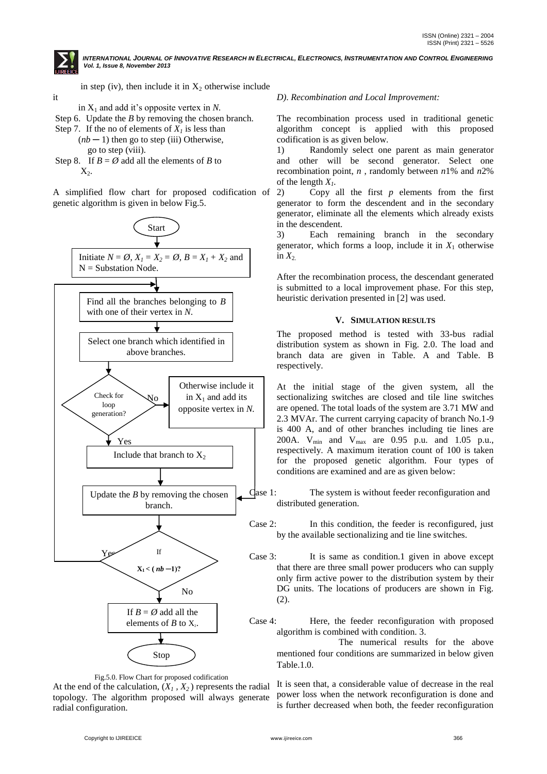

it

INTERNATIONAL JOURNAL OF INNOVATIVE RESEARCH IN ELECTRICAL, ELECTRONICS, INSTRUMENTATION AND CONTROL ENGINEERING *Vol. 1, Issue 8, November 2013*

in step (iv), then include it in  $X_2$  otherwise include

in  $X_1$  and add it's opposite vertex in N.

Step 6. Update the *B* by removing the chosen branch.

Step 7. If the no of elements of  $X<sub>l</sub>$  is less than  $(nb - 1)$  then go to step (iii) Otherwise,

go to step (viii).

Step 8. If  $B = \emptyset$  add all the elements of *B* to  $X_2$ .

A simplified flow chart for proposed codification of genetic algorithm is given in below Fig.5.



Fig.5.0. Flow Chart for proposed codification

At the end of the calculation,  $(X_1, X_2)$  represents the radial topology. The algorithm proposed will always generate radial configuration.

### *D)*. *Recombination and Local Improvement:*

The recombination process used in traditional genetic algorithm concept is applied with this proposed codification is as given below.

1) Randomly select one parent as main generator and other will be second generator. Select one recombination point, *n* , randomly between *n*1% and *n*2% of the length *X1.*

2) Copy all the first *p* elements from the first generator to form the descendent and in the secondary generator, eliminate all the elements which already exists in the descendent.

3) Each remaining branch in the secondary generator, which forms a loop, include it in  $X_1$  otherwise in  $X_2$ .

After the recombination process, the descendant generated is submitted to a local improvement phase. For this step, heuristic derivation presented in [2] was used.

### **V. SIMULATION RESULTS**

The proposed method is tested with 33-bus radial distribution system as shown in Fig. 2.0. The load and branch data are given in Table. A and Table. B respectively.

At the initial stage of the given system, all the sectionalizing switches are closed and tile line switches are opened. The total loads of the system are 3.71 MW and 2.3 MVAr. The current carrying capacity of branch No.1-9 is 400 A, and of other branches including tie lines are 200A.  $V_{min}$  and  $V_{max}$  are 0.95 p.u. and 1.05 p.u., respectively. A maximum iteration count of 100 is taken for the proposed genetic algorithm. Four types of conditions are examined and are as given below:

Case 1: The system is without feeder reconfiguration and distributed generation.

- Case 2: In this condition, the feeder is reconfigured, just by the available sectionalizing and tie line switches.
- Case 3: It is same as condition.1 given in above except that there are three small power producers who can supply only firm active power to the distribution system by their DG units. The locations of producers are shown in Fig. (2).

Case 4: Here, the feeder reconfiguration with proposed algorithm is combined with condition. 3.

 The numerical results for the above mentioned four conditions are summarized in below given Table.1.0.

It is seen that, a considerable value of decrease in the real power loss when the network reconfiguration is done and is further decreased when both, the feeder reconfiguration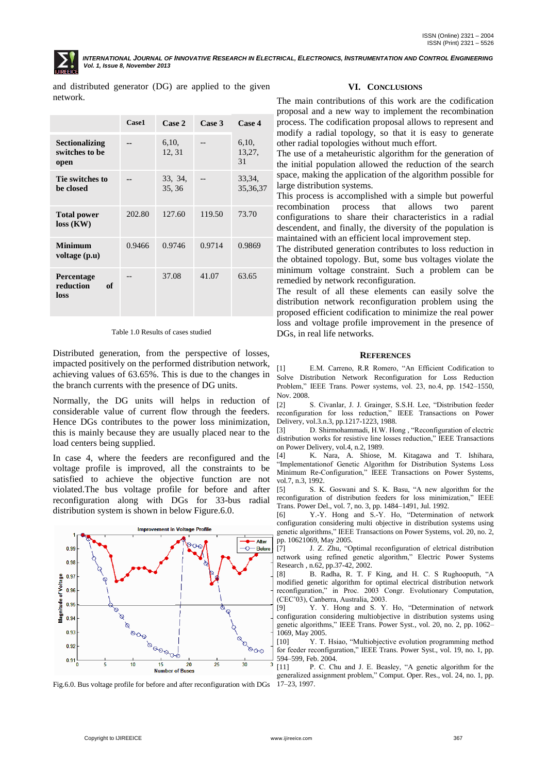

and distributed generator (DG) are applied to the given network.

|                                                 | Case1  | Case 2            | Case 3 | Case 4                |
|-------------------------------------------------|--------|-------------------|--------|-----------------------|
| <b>Sectionalizing</b><br>switches to be<br>open |        | 6,10,<br>12, 31   |        | 6,10,<br>13,27,<br>31 |
| Tie switches to<br>be closed                    |        | 33, 34,<br>35, 36 |        | 33, 34,<br>35, 36, 37 |
| <b>Total power</b><br>$loss$ (KW)               | 202.80 | 127.60            | 119.50 | 73.70                 |
| Minimum<br>voltage (p.u)                        | 0.9466 | 0.9746            | 0.9714 | 0.9869                |
| Percentage<br>reduction<br>оf<br>loss           |        | 37.08             | 41.07  | 63.65                 |

Table 1.0 Results of cases studied

Distributed generation, from the perspective of losses, impacted positively on the performed distribution network, achieving values of 63.65%. This is due to the changes in the branch currents with the presence of DG units.

Normally, the DG units will helps in reduction of considerable value of current flow through the feeders. Hence DGs contributes to the power loss minimization, this is mainly because they are usually placed near to the load centers being supplied.

In case 4, where the feeders are reconfigured and the voltage profile is improved, all the constraints to be satisfied to achieve the objective function are not violated.The bus voltage profile for before and after reconfiguration along with DGs for 33-bus radial distribution system is shown in below Figure.6.0.



Fig.6.0. Bus voltage profile for before and after reconfiguration with DGs

### **VI. CONCLUSIONS**

The main contributions of this work are the codification proposal and a new way to implement the recombination process. The codification proposal allows to represent and modify a radial topology, so that it is easy to generate other radial topologies without much effort.

The use of a metaheuristic algorithm for the generation of the initial population allowed the reduction of the search space, making the application of the algorithm possible for large distribution systems.

This process is accomplished with a simple but powerful recombination process that allows two parent configurations to share their characteristics in a radial descendent, and finally, the diversity of the population is maintained with an efficient local improvement step.

The distributed generation contributes to loss reduction in the obtained topology. But, some bus voltages violate the minimum voltage constraint. Such a problem can be remedied by network reconfiguration.

The result of all these elements can easily solve the distribution network reconfiguration problem using the proposed efficient codification to minimize the real power loss and voltage profile improvement in the presence of DGs, in real life networks.

### **REFERENCES**

[1] E.M. Carreno, R.R Romero, "An Efficient Codification to Solve Distribution Network Reconfiguration for Loss Reduction Problem," IEEE Trans. Power systems, vol. 23, no.4, pp. 1542–1550, Nov. 2008.

[2] S. Civanlar, J. J. Grainger, S.S.H. Lee, "Distribution feeder reconfiguration for loss reduction," IEEE Transactions on Power reconfiguration for loss reduction," Delivery, vol.3.n.3, pp.1217-1223, 1988.

[3] D. Shirmohammadi, H.W. Hong, "Reconfiguration of electric distribution works for resistive line losses reduction," IEEE Transactions on Power Delivery, vol.4, n.2, 1989.

[4] K. Nara, A. Shiose, M. Kitagawa and T. Ishihara, "Implementationof Genetic Algorithm for Distribution Systems Loss Minimum Re-Configuration," IEEE Transactions on Power Systems, vol.7, n.3, 1992.

[5] S. K. Goswani and S. K. Basu, "A new algorithm for the reconfiguration of distribution feeders for loss minimization," IEEE Trans. Power Del., vol. 7, no. 3, pp. 1484–1491, Jul. 1992.

[6] Y.-Y. Hong and S.-Y. Ho, "Determination of network configuration considering multi objective in distribution systems using genetic algorithms," IEEE Transactions on Power Systems, vol. 20, no. 2, pp. 10621069, May 2005.

[7] J. Z. Zhu, "Optimal reconfiguration of eletrical distribution network using refined genetic algorithm," Electric Power Systems Research , n.62, pp.37-42, 2002.

[8] B. Radha, R. T. F King, and H. C. S Rughooputh, "A modified genetic algorithm for optimal electrical distribution network reconfiguration," in Proc. 2003 Congr. Evolutionary Computation, (CEC'03), Canberra, Australia, 2003.

[9] Y. Y. Hong and S. Y. Ho, "Determination of network configuration considering multiobjective in distribution systems using genetic algorithms," IEEE Trans. Power Syst., vol. 20, no. 2, pp. 1062-1069, May 2005.

[10] Y. T. Hsiao, "Multiobjective evolution programming method for feeder reconfiguration," IEEE Trans. Power Syst., vol. 19, no. 1, pp. 594–599, Feb. 2004.

[11] P. C. Chu and J. E. Beasley, "A genetic algorithm for the generalized assignment problem," Comput. Oper. Res., vol. 24, no. 1, pp. 17–23, 1997.